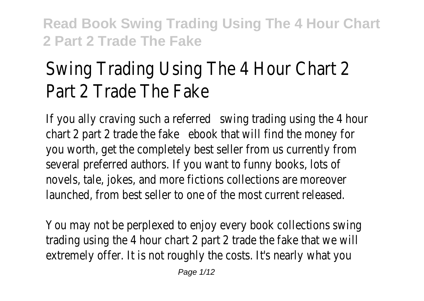# Swing Trading Using The 4 Hour Chart 2 Part 2 Trade The Fake

If you ally craving such a referred swing trading using the 4 hour chart 2 part 2 trade the fake book that will find the money for you worth, get the completely best seller from us currently from several preferred authors. If you want to funny books, lots of novels, tale, jokes, and more fictions collections are moreover launched, from best seller to one of the most current released.

You may not be perplexed to enjoy every book collections swing trading using the 4 hour chart 2 part 2 trade the fake that we will extremely offer. It is not roughly the costs. It's nearly what you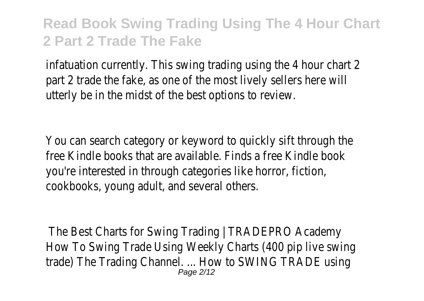infatuation currently. This swing trading using the 4 hour chart 2 part 2 trade the fake, as one of the most lively sellers here will utterly be in the midst of the best options to review.

You can search category or keyword to quickly sift through the free Kindle books that are available. Finds a free Kindle book you're interested in through categories like horror, fiction, cookbooks, young adult, and several others.

The Best Charts for Swing Trading | TRADEPRO Academy How To Swing Trade Using Weekly Charts (400 pip live swing trade) The Trading Channel. ... How to SWING TRADE using Page 2/12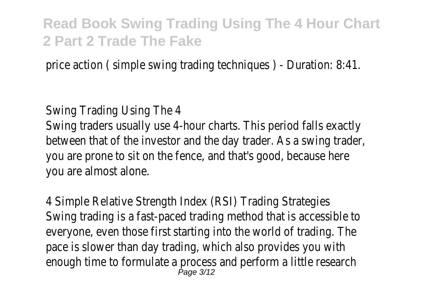price action ( simple swing trading techniques ) - Duration: 8:41.

#### Swing Trading Using The 4

Swing traders usually use 4-hour charts. This period falls exactly between that of the investor and the day trader. As a swing trader, you are prone to sit on the fence, and that's good, because here you are almost alone.

4 Simple Relative Strength Index (RSI) Trading Strategies Swing trading is a fast-paced trading method that is accessible to everyone, even those first starting into the world of trading. The pace is slower than day trading, which also provides you with enough time to formulate a process and perform a little research  $P$ age  $3/12$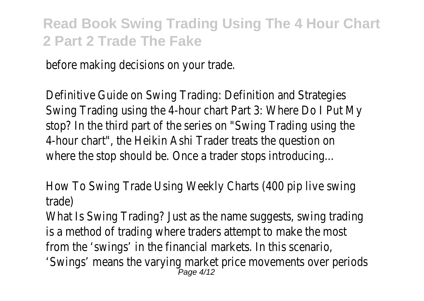before making decisions on your trade.

Definitive Guide on Swing Trading: Definition and Strategies Swing Trading using the 4-hour chart Part 3: Where Do I Put My stop? In the third part of the series on "Swing Trading using the 4-hour chart", the Heikin Ashi Trader treats the question on where the stop should be. Once a trader stops introducing...

How To Swing Trade Using Weekly Charts (400 pip live swing trade)

What Is Swing Trading? Just as the name suggests, swing trading is a method of trading where traders attempt to make the most from the 'swings' in the financial markets. In this scenario, 'Swings' means the varying market price movements over periods Page 4/12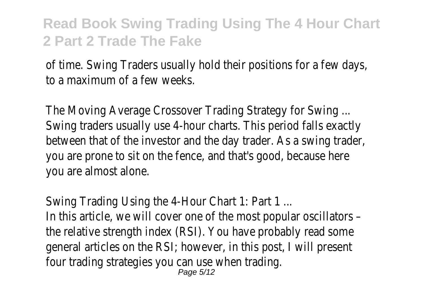of time. Swing Traders usually hold their positions for a few days, to a maximum of a few weeks.

The Moving Average Crossover Trading Strategy for Swing ... Swing traders usually use 4-hour charts. This period falls exactly between that of the investor and the day trader. As a swing trader, you are prone to sit on the fence, and that's good, because here you are almost alone.

Swing Trading Using the 4-Hour Chart 1: Part 1 ...

In this article, we will cover one of the most popular oscillators – the relative strength index (RSI). You have probably read some general articles on the RSI; however, in this post, I will present four trading strategies you can use when trading.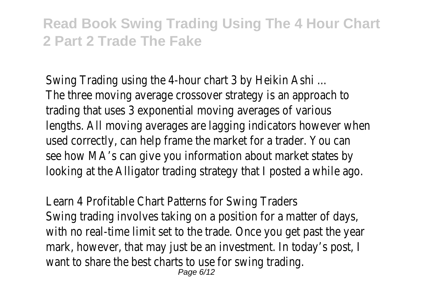Swing Trading using the 4-hour chart 3 by Heikin Ashi ... The three moving average crossover strategy is an approach to trading that uses 3 exponential moving averages of various lengths. All moving averages are lagging indicators however when used correctly, can help frame the market for a trader. You can see how MA's can give you information about market states by looking at the Alligator trading strategy that I posted a while ago.

Learn 4 Profitable Chart Patterns for Swing Traders Swing trading involves taking on a position for a matter of days, with no real-time limit set to the trade. Once you get past the year mark, however, that may just be an investment. In today's post, I want to share the best charts to use for swing trading. Page 6/12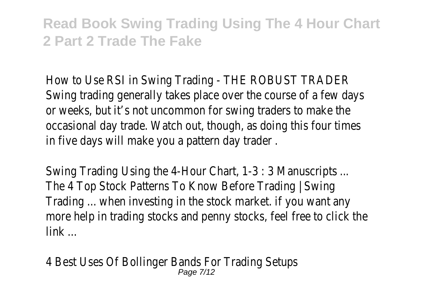How to Use RSI in Swing Trading - THE ROBUST TRADER Swing trading generally takes place over the course of a few days or weeks, but it's not uncommon for swing traders to make the occasional day trade. Watch out, though, as doing this four times in five days will make you a pattern day trader .

Swing Trading Using the 4-Hour Chart, 1-3 : 3 Manuscripts ... The 4 Top Stock Patterns To Know Before Trading | Swing Trading ... when investing in the stock market. if you want any more help in trading stocks and penny stocks, feel free to click the link ...

4 Best Uses Of Bollinger Bands For Trading Setups Page 7/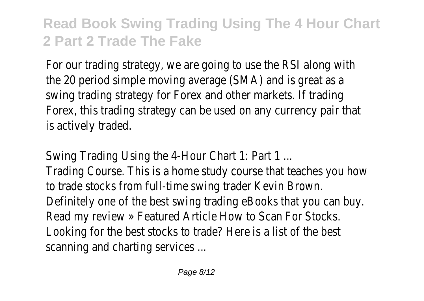For our trading strategy, we are going to use the RSI along with the 20 period simple moving average (SMA) and is great as a swing trading strategy for Forex and other markets. If trading Forex, this trading strategy can be used on any currency pair that is actively traded.

Swing Trading Using the 4-Hour Chart 1: Part 1 ... Trading Course. This is a home study course that teaches you how

to trade stocks from full-time swing trader Kevin Brown. Definitely one of the best swing trading eBooks that you can buy.

Read my review » Featured Article How to Scan For Stocks. Looking for the best stocks to trade? Here is a list of the best

scanning and charting services ...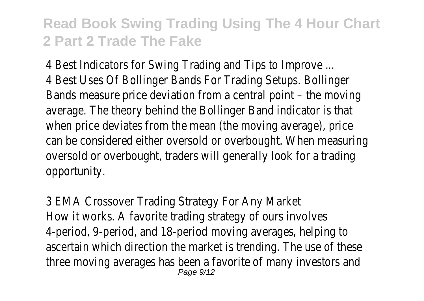4 Best Indicators for Swing Trading and Tips to Improve ... 4 Best Uses Of Bollinger Bands For Trading Setups. Bollinger Bands measure price deviation from a central point – the moving average. The theory behind the Bollinger Band indicator is that when price deviates from the mean (the moving average), price can be considered either oversold or overbought. When measuring oversold or overbought, traders will generally look for a trading opportunity.

3 EMA Crossover Trading Strategy For Any Market How it works. A favorite trading strategy of ours involves 4-period, 9-period, and 18-period moving averages, helping to ascertain which direction the market is trending. The use of these three moving averages has been a favorite of many investors and Page 9/12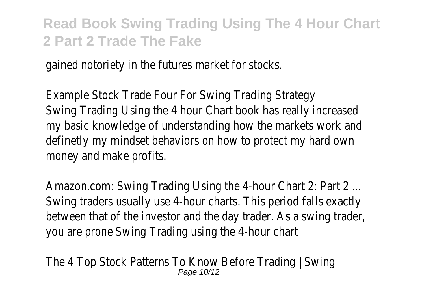gained notoriety in the futures market for stocks.

Example Stock Trade Four For Swing Trading Strategy Swing Trading Using the 4 hour Chart book has really increased my basic knowledge of understanding how the markets work and definetly my mindset behaviors on how to protect my hard own money and make profits.

Amazon.com: Swing Trading Using the 4-hour Chart 2: Part 2 ... Swing traders usually use 4-hour charts. This period falls exactly between that of the investor and the day trader. As a swing trader, you are prone Swing Trading using the 4-hour chart

The 4 Top Stock Patterns To Know Before Trading | Swing Page 10/12